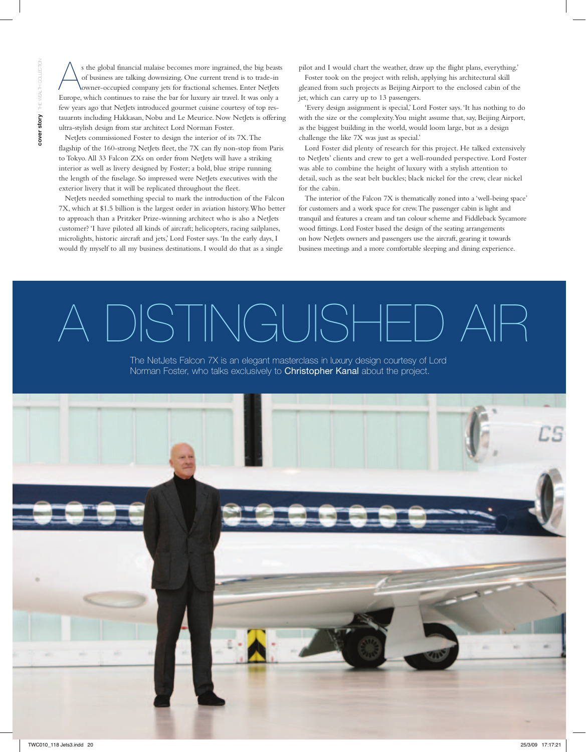s the global financial malaise becomes more ingrained, the big beasts<br>of business are talking downsizing. One current trend is to trade-in<br>owner-occupied company jets for fractional schemes. Enter NetJets of business are talking downsizing. One current trend is to trade-in owner-occupied company jets for fractional schemes. Enter NetJets Europe, which continues to raise the bar for luxury air travel. It was only a few years ago that NetJets introduced gourmet cuisine courtesy of top restauarnts including Hakkasan, Nobu and Le Meurice. Now NetJets is offering ultra-stylish design from star architect Lord Norman Foster.

NetJets commissioned Foster to design the interior of its 7X. The flagship of the 160-strong NetJets fleet, the 7X can fly non-stop from Paris to Tokyo. All 33 Falcon ZXs on order from NetJets will have a striking interior as well as livery designed by Foster; a bold, blue stripe running the length of the fuselage. So impressed were NetJets executives with the exterior livery that it will be replicated throughout the fleet.

NetJets needed something special to mark the introduction of the Falcon 7X, which at \$1.5 billion is the largest order in aviation history. Who better to approach than a Pritzker Prize-winning architect who is also a NetJets customer? 'I have piloted all kinds of aircraft; helicopters, racing sailplanes, microlights, historic aircraft and jets,' Lord Foster says. 'In the early days, I would fly myself to all my business destinations. I would do that as a single

pilot and I would chart the weather, draw up the flight plans, everything.'

Foster took on the project with relish, applying his architectural skill gleaned from such projects as Beijing Airport to the enclosed cabin of the jet, which can carry up to 13 passengers.

'Every design assignment is special,' Lord Foster says. 'It has nothing to do with the size or the complexity. You might assume that, say, Beijing Airport, as the biggest building in the world, would loom large, but as a design challenge the like 7X was just as special.'

Lord Foster did plenty of research for this project. He talked extensively to NetJets' clients and crew to get a well-rounded perspective. Lord Foster was able to combine the height of luxury with a stylish attention to detail, such as the seat belt buckles; black nickel for the crew, clear nickel for the cabin.

The interior of the Falcon 7X is thematically zoned into a 'well-being space' for customers and a work space for crew. The passenger cabin is light and tranquil and features a cream and tan colour scheme and Fiddleback Sycamore wood fittings. Lord Foster based the design of the seating arrangements on how NetJets owners and passengers use the aircraft, gearing it towards business meetings and a more comfortable sleeping and dining experience.

## DISTINGUSHED

The NetJets Falcon 7X is an elegant masterclass in luxury design courtesy of Lord Norman Foster, who talks exclusively to Christopher Kanal about the project.